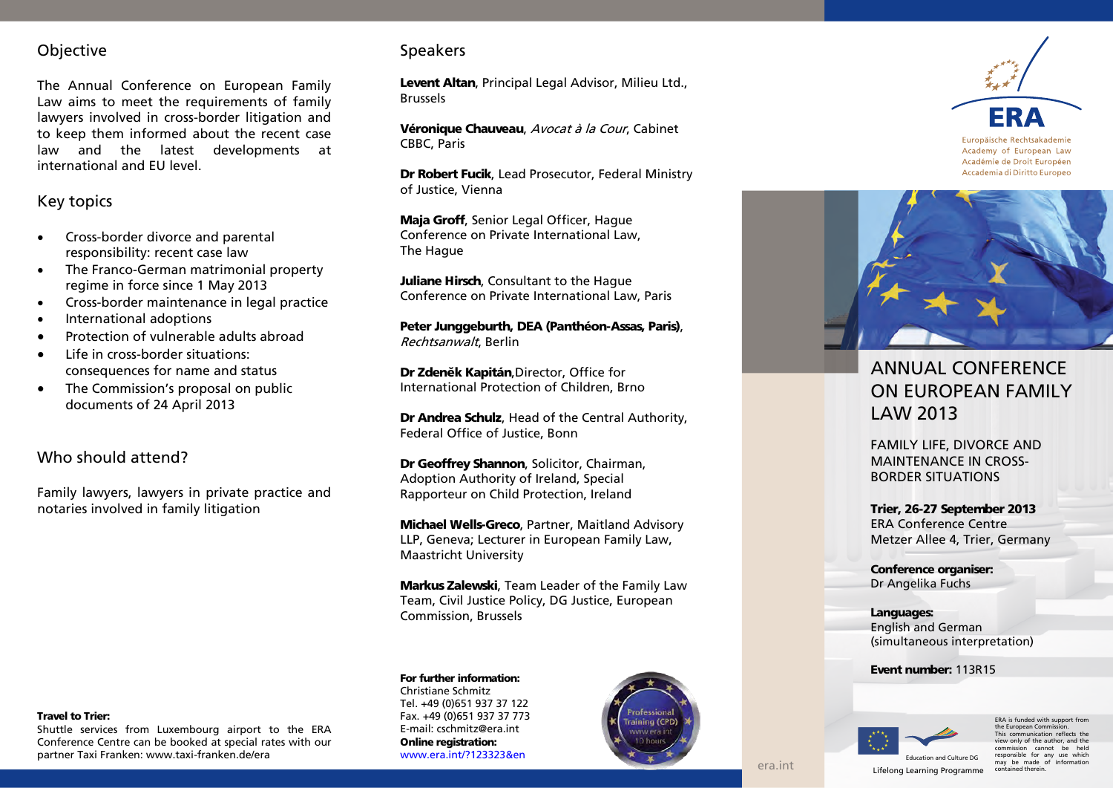# Objective

The Annual Conference on European Family Law aims to meet the requirements of family lawyers involved in cross -border litigation and to keep them informed about the recent case law and the latest developments at international and EU level.

## Key topics

- Cross-border divorce and parental responsibility: recent case law
- The Franco -German matrimonial property regime in force since 1 May 2013
- Cross -border maintenance in legal practice
- International adoptions
- Protection of vulnerable adults abroad
- Life in cross-border situations: consequences for name and status
- The Commission's proposal on public documents of 24 April 2013

## Who should attend?

Family lawyers, lawyers in private practice and notaries involved in family litigation

## Speakers

Levent Altan, Principal Legal Advisor, Milieu Ltd., Brussels

Véronique Chauveau, Avocat à la Cour, Cabinet CBBC, Paris

Dr Robert Fucik, Lead Prosecutor, Federal Ministry of Justice, Vienna

Maja Groff, Senior Legal Officer, Hague Conference on Private International Law, The Hague

Juliane Hirsch, Consultant to the Haque Conference on Private International Law, Paris

Peter Junggeburt h, DEA (Panthéon -Assas, Paris) , Rechtsanwalt, Berlin

**Dr Zdeněk Kapitán**,Director, Office for International Protection of Children, Brno

Dr Andrea Schulz, Head of the Central Authority, Federal Office of Justice, Bonn

Dr Geoffrey Shannon, Solicitor, Chairman, Adoption Authority of Ireland, Special Rapporteur on Child Protection, Ireland

Michael Wells-Greco, Partner, Maitland Advisory LLP, Geneva; Lecturer in European Family Law, Maastricht University

Markus Zalewski, Team Leader of the Family Law Team, Civil Justice Policy, DG Justice, European Commission, Brussels

## For further information:

Christiane Schmitz Tel. +49 (0)651 937 37 122 Fax. +49 (0)651 937 37 773 E-mail: cschmitz@era.int Online registration: [www.era.int/?123323&en](http://www.era.int/?123323&en)





Europäische Rechtsakademie Academy of European Law Académie de Droit Européen Accademia di Diritto Europeo



# ANNUAL CONFERENCE ON EUROPEAN FAMILY LAW 2013

FAMILY LIFE, DIVORCE AND MAINTENANCE IN CROSS - BORDER SITUATIONS

Trier, 26-27 September 2013 ERA Conference Centre Metzer Allee 4, Trier, Germany

Conference organiser: Dr Angelika Fuchs

Languages: English and German (simultaneous interpretation)

Event number: 11 3R15



ERA is funded with support from the European Commiss This communication reflects the view only of the author, and the ends and cannot be held responsible for any use which may be made of information<br>contained therein.

#### Travel to Trier:

Shuttle services from Luxembourg airport to the ERA Conference Centre can be booked at special rates with our partner Taxi Franken: www.taxi -franken.de/era

Lifelong Learning Programme